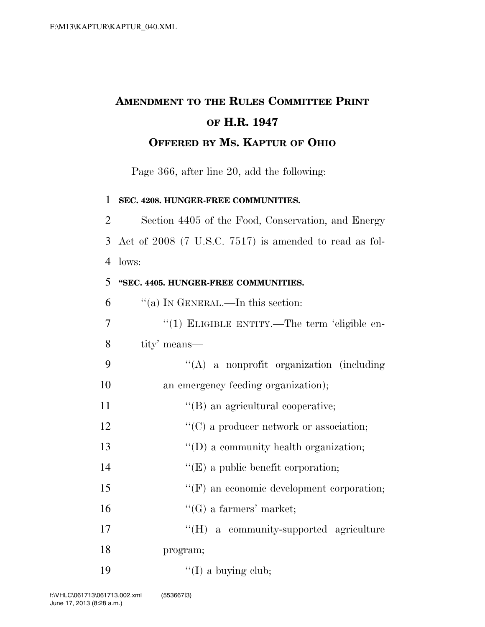## **AMENDMENT TO THE RULES COMMITTEE PRINT OF H.R. 1947 OFFERED BY MS. KAPTUR OF OHIO**

Page 366, after line 20, add the following:

**SEC. 4208. HUNGER-FREE COMMUNITIES.** 

 Section 4405 of the Food, Conservation, and Energy Act of 2008 (7 U.S.C. 7517) is amended to read as fol-lows:

## **''SEC. 4405. HUNGER-FREE COMMUNITIES.**

| 6              | "(a) IN GENERAL.—In this section:                |
|----------------|--------------------------------------------------|
| $\overline{7}$ | "(1) ELIGIBLE ENTITY.—The term 'eligible en-     |
| 8              | tity' means—                                     |
| 9              | $\lq\lq$ a nonprofit organization (including     |
| 10             | an emergency feeding organization);              |
| 11             | "(B) an agricultural cooperative;                |
| 12             | $\lq\lq$ (C) a producer network or association;  |
| 13             | "(D) a community health organization;            |
| 14             | $\lq\lq(E)$ a public benefit corporation;        |
| 15             | $\lq\lq(F)$ an economic development corporation; |
| 16             | $\lq\lq(G)$ a farmers' market;                   |
| 17             | "(H) a community-supported agriculture           |
| 18             | program;                                         |
| 19             | $\lq\lq$ (I) a buying club;                      |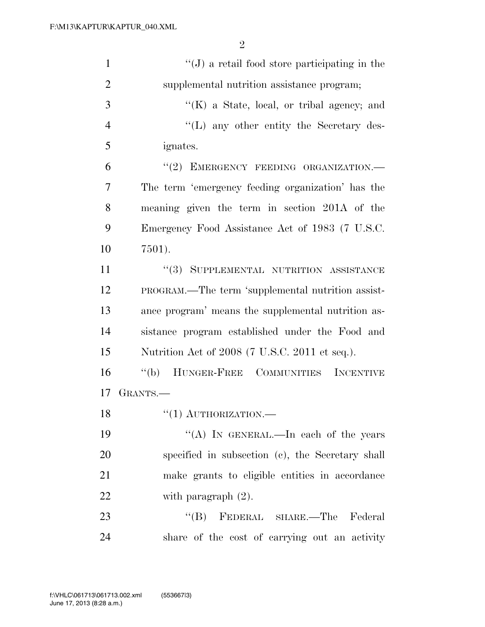| $\mathbf{1}$   | $\lq\lq$ a retail food store participating in the  |
|----------------|----------------------------------------------------|
| $\overline{2}$ | supplemental nutrition assistance program;         |
| 3              | "(K) a State, local, or tribal agency; and         |
| $\overline{4}$ | $\lq\lq$ . The secretary des-                      |
| 5              | <i>ignates.</i>                                    |
| 6              | "(2) EMERGENCY FEEDING ORGANIZATION.-              |
| 7              | The term 'emergency feeding organization' has the  |
| 8              | meaning given the term in section 201A of the      |
| 9              | Emergency Food Assistance Act of 1983 (7 U.S.C.    |
| 10             | 7501).                                             |
| 11             | $``(3)$ SUPPLEMENTAL NUTRITION ASSISTANCE          |
| 12             | PROGRAM.—The term 'supplemental nutrition assist-  |
| 13             | ance program' means the supplemental nutrition as- |
| 14             | sistance program established under the Food and    |
| 15             | Nutrition Act of 2008 (7 U.S.C. 2011 et seq.).     |
| 16             | "(b) HUNGER-FREE COMMUNITIES INCENTIVE             |
| 17             | GRANTS.                                            |
| 18             | $``(1)$ AUTHORIZATION.—                            |
| 19             | "(A) IN GENERAL.—In each of the years              |
| 20             | specified in subsection (c), the Secretary shall   |
| 21             | make grants to eligible entities in accordance     |
| 22             | with paragraph $(2)$ .                             |
| 23             | FEDERAL SHARE.—The<br>$\lq\lq (B)$<br>Federal      |
| 24             | share of the cost of carrying out an activity      |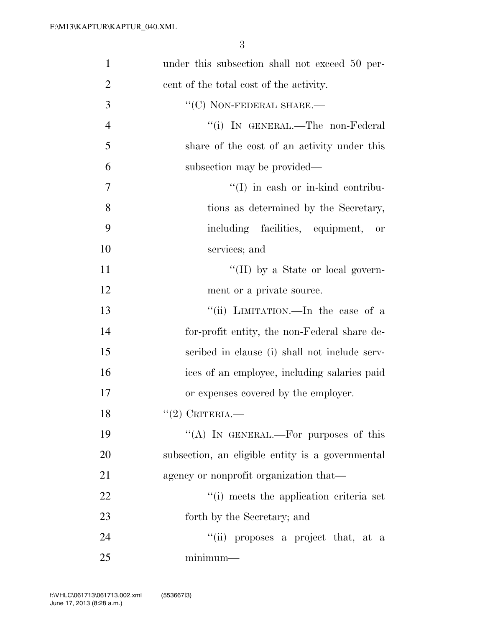| $\mathbf{1}$   | under this subsection shall not exceed 50 per-   |
|----------------|--------------------------------------------------|
| $\overline{2}$ | cent of the total cost of the activity.          |
| 3              | $\lq\lq$ <sup>(C)</sup> NON-FEDERAL SHARE.—      |
| $\overline{4}$ | "(i) IN GENERAL.—The non-Federal                 |
| 5              | share of the cost of an activity under this      |
| 6              | subsection may be provided—                      |
| 7              | $\lq\lq$ (I) in eash or in-kind contribu-        |
| 8              | tions as determined by the Secretary,            |
| 9              | including facilities, equipment, or              |
| 10             | services; and                                    |
| 11             | "(II) by a State or local govern-                |
| 12             | ment or a private source.                        |
| 13             | "(ii) LIMITATION.—In the case of a               |
| 14             | for-profit entity, the non-Federal share de-     |
| 15             | scribed in clause (i) shall not include serv-    |
| 16             | ices of an employee, including salaries paid     |
| 17             | or expenses covered by the employer.             |
| 18             | $(2)$ CRITERIA.                                  |
| 19             | "(A) IN GENERAL.—For purposes of this            |
| 20             | subsection, an eligible entity is a governmental |
| 21             | agency or nonprofit organization that—           |
| 22             | "(i) meets the application criteria set          |
| 23             | forth by the Secretary; and                      |
| 24             | "(ii) proposes a project that, at a              |
| 25             | $minimum-$                                       |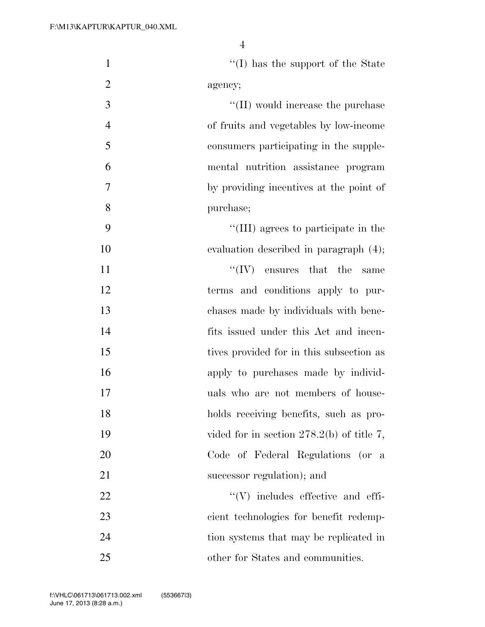| $\mathbf{1}$   | $\lq\lq$ (I) has the support of the State   |
|----------------|---------------------------------------------|
| $\overline{2}$ | agency;                                     |
| $\mathfrak{Z}$ | $\lq\lq$ (II) would increase the purchase   |
| $\overline{4}$ | of fruits and vegetables by low-income      |
| 5              | consumers participating in the supple-      |
| 6              | mental nutrition assistance program         |
| 7              | by providing incentives at the point of     |
| 8              | purchase;                                   |
| 9              | "(III) agrees to participate in the         |
| 10             | evaluation described in paragraph (4);      |
| 11             | $\lq\lq (IV)$ ensures that the<br>same      |
| 12             | terms and conditions apply to pur-          |
| 13             | chases made by individuals with bene-       |
| 14             | fits issued under this Act and incen-       |
| 15             | tives provided for in this subsection as    |
| 16             | apply to purchases made by individ-         |
| 17             | uals who are not members of house-          |
| 18             | holds receiving benefits, such as pro-      |
| 19             | vided for in section $278.2(b)$ of title 7, |
| 20             | Code of Federal Regulations (or a           |
| 21             | successor regulation); and                  |
| 22             | $``(V)$ includes effective and effi-        |
| 23             | cient technologies for benefit redemp-      |
| 24             | tion systems that may be replicated in      |
| 25             | other for States and communities.           |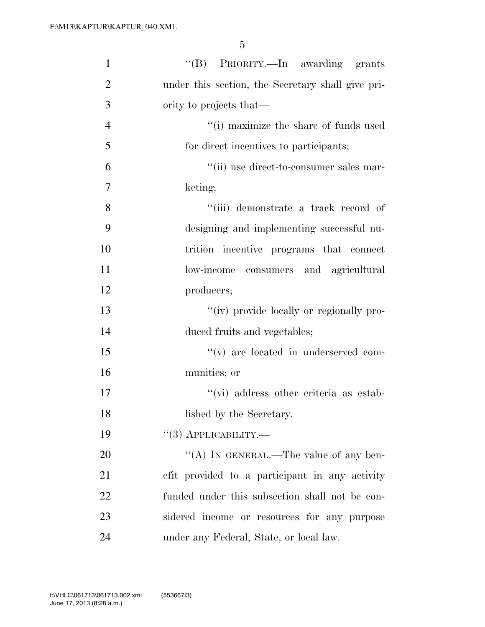| $\mathbf{1}$   | "(B) PRIORITY.—In awarding grants                 |
|----------------|---------------------------------------------------|
| $\overline{2}$ | under this section, the Secretary shall give pri- |
| 3              | ority to projects that—                           |
| $\overline{4}$ | $``(i)$ maximize the share of funds used          |
| 5              | for direct incentives to participants;            |
| 6              | "(ii) use direct-to-consumer sales mar-           |
| 7              | keting;                                           |
| 8              | "(iii) demonstrate a track record of              |
| 9              | designing and implementing successful nu-         |
| 10             | trition incentive programs that connect           |
| 11             | low-income consumers and agricultural             |
| 12             | producers;                                        |
| 13             | "(iv) provide locally or regionally pro-          |
| 14             | duced fruits and vegetables;                      |
| 15             | $f'(v)$ are located in underserved com-           |
| 16             | munities; or                                      |
| 17             | "(vi) address other criteria as estab-            |
| 18             | lished by the Secretary.                          |
| 19             | $``(3)$ APPLICABILITY.—                           |
| 20             | "(A) IN GENERAL.—The value of any ben-            |
| 21             | efit provided to a participant in any activity    |
| 22             | funded under this subsection shall not be con-    |
| 23             | sidered income or resources for any purpose       |
| 24             | under any Federal, State, or local law.           |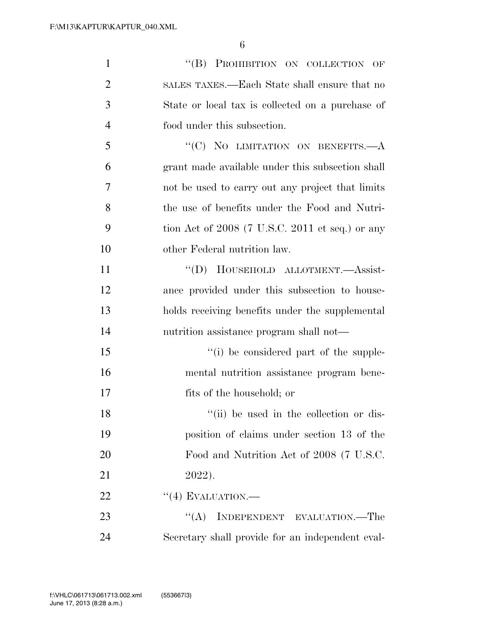| $\mathbf{1}$   | "(B) PROHIBITION ON COLLECTION OF                 |
|----------------|---------------------------------------------------|
| $\overline{2}$ | SALES TAXES.—Each State shall ensure that no      |
| 3              | State or local tax is collected on a purchase of  |
| $\overline{4}$ | food under this subsection.                       |
| 5              | "(C) NO LIMITATION ON BENEFITS.- A                |
| 6              | grant made available under this subsection shall  |
| 7              | not be used to carry out any project that limits  |
| 8              | the use of benefits under the Food and Nutri-     |
| 9              | tion Act of $2008$ (7 U.S.C. 2011 et seq.) or any |
| 10             | other Federal nutrition law.                      |
| 11             | "(D) HOUSEHOLD ALLOTMENT.-Assist-                 |
| 12             | ance provided under this subsection to house-     |
| 13             | holds receiving benefits under the supplemental   |
| 14             | nutrition assistance program shall not—           |
| 15             | "(i) be considered part of the supple-            |
| 16             | mental nutrition assistance program bene-         |
| 17             | fits of the household; or                         |
| 18             | "(ii) be used in the collection or dis-           |
| 19             | position of claims under section 13 of the        |
| 20             | Food and Nutrition Act of 2008 (7 U.S.C.          |
| 21             | 2022).                                            |
| 22             | $``(4)$ EVALUATION.—                              |
| 23             | $\lq\lq (A)$<br>INDEPENDENT EVALUATION.—The       |
| 24             | Secretary shall provide for an independent eval-  |